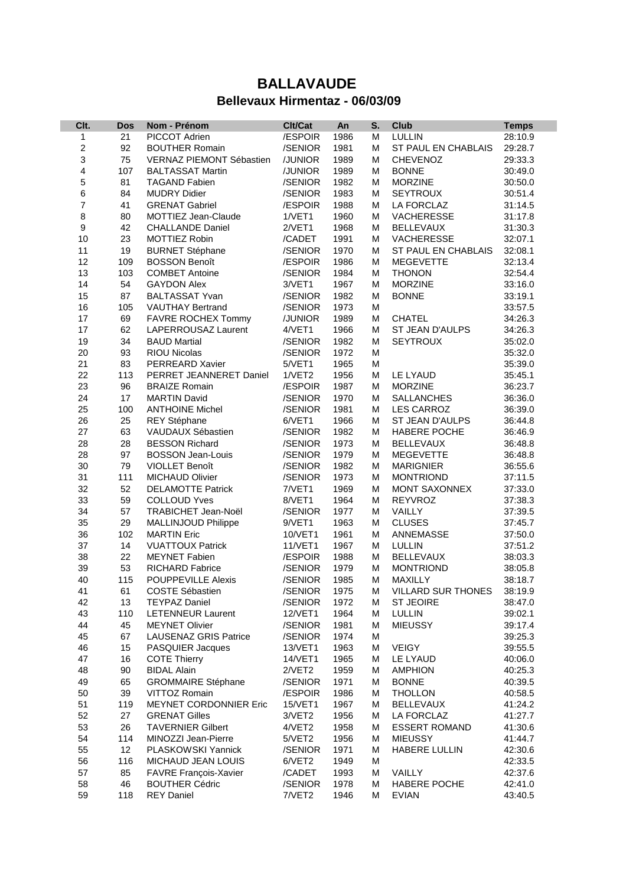## **BALLAVAUDE Bellevaux Hirmentaz - 06/03/09**

| Clt.                         |            |                                      | Clt/Cat            |      | S. | <b>Club</b>               |              |
|------------------------------|------------|--------------------------------------|--------------------|------|----|---------------------------|--------------|
|                              | <b>Dos</b> | Nom - Prénom<br><b>PICCOT Adrien</b> |                    | An   | M  | <b>LULLIN</b>             | <b>Temps</b> |
| 1<br>$\overline{\mathbf{c}}$ | 21         |                                      | /ESPOIR<br>/SENIOR | 1986 | M  |                           | 28:10.9      |
|                              | 92         | <b>BOUTHER Romain</b>                |                    | 1981 |    | ST PAUL EN CHABLAIS       | 29:28.7      |
| 3                            | 75         | VERNAZ PIEMONT Sébastien             | /JUNIOR            | 1989 | M  | <b>CHEVENOZ</b>           | 29:33.3      |
| 4                            | 107        | <b>BALTASSAT Martin</b>              | /JUNIOR            | 1989 | м  | <b>BONNE</b>              | 30:49.0      |
| 5                            | 81         | <b>TAGAND Fabien</b>                 | /SENIOR            | 1982 | М  | <b>MORZINE</b>            | 30:50.0      |
| 6                            | 84         | <b>MUDRY Didier</b>                  | /SENIOR            | 1983 | M  | <b>SEYTROUX</b>           | 30:51.4      |
| $\overline{7}$               | 41         | <b>GRENAT Gabriel</b>                | /ESPOIR            | 1988 | м  | LA FORCLAZ                | 31:14.5      |
| 8                            | 80         | MOTTIEZ Jean-Claude                  | 1/VET1             | 1960 | М  | VACHERESSE                | 31:17.8      |
| 9                            | 42         | <b>CHALLANDE Daniel</b>              | 2/VET1             | 1968 | M  | <b>BELLEVAUX</b>          | 31:30.3      |
| 10                           | 23         | MOTTIEZ Robin                        | /CADET             | 1991 | М  | <b>VACHERESSE</b>         | 32:07.1      |
| 11                           | 19         | <b>BURNET Stéphane</b>               | /SENIOR            | 1970 | М  | ST PAUL EN CHABLAIS       | 32:08.1      |
| 12                           | 109        | <b>BOSSON Benoît</b>                 | /ESPOIR            | 1986 | м  | <b>MEGEVETTE</b>          | 32:13.4      |
| 13                           | 103        | <b>COMBET Antoine</b>                | /SENIOR            | 1984 | M  | <b>THONON</b>             | 32:54.4      |
| 14                           | 54         | <b>GAYDON Alex</b>                   | 3/VET1             | 1967 | м  | <b>MORZINE</b>            | 33:16.0      |
| 15                           | 87         | <b>BALTASSAT Yvan</b>                | /SENIOR            | 1982 | M  | <b>BONNE</b>              | 33:19.1      |
| 16                           | 105        | <b>VAUTHAY Bertrand</b>              | /SENIOR            | 1973 | M  |                           | 33:57.5      |
| 17                           | 69         | FAVRE ROCHEX Tommy                   | /JUNIOR            | 1989 | M  | <b>CHATEL</b>             | 34:26.3      |
| 17                           | 62         | LAPERROUSAZ Laurent                  | 4/VET1             | 1966 | М  | ST JEAN D'AULPS           | 34:26.3      |
| 19                           | 34         | <b>BAUD Martial</b>                  | /SENIOR            | 1982 | M  | <b>SEYTROUX</b>           | 35:02.0      |
| 20                           | 93         | <b>RIOU Nicolas</b>                  | /SENIOR            | 1972 | M  |                           | 35:32.0      |
| 21                           | 83         | <b>PERREARD Xavier</b>               | 5/VET1             | 1965 | M  |                           | 35:39.0      |
| 22                           | 113        | PERRET JEANNERET Daniel              | 1/VET2             | 1956 | M  | LE LYAUD                  | 35:45.1      |
| 23                           | 96         | <b>BRAIZE Romain</b>                 | /ESPOIR            | 1987 | M  | <b>MORZINE</b>            | 36:23.7      |
| 24                           | 17         | <b>MARTIN David</b>                  | /SENIOR            | 1970 | M  | <b>SALLANCHES</b>         | 36:36.0      |
| 25                           | 100        | <b>ANTHOINE Michel</b>               | /SENIOR            | 1981 | м  | <b>LES CARROZ</b>         | 36:39.0      |
| 26                           | 25         | <b>REY Stéphane</b>                  | 6/VET1             | 1966 | М  | ST JEAN D'AULPS           | 36:44.8      |
| 27                           | 63         | VAUDAUX Sébastien                    | /SENIOR            | 1982 | M  | <b>HABERE POCHE</b>       | 36:46.9      |
| 28                           | 28         | <b>BESSON Richard</b>                | /SENIOR            | 1973 | M  | <b>BELLEVAUX</b>          | 36:48.8      |
| 28                           | 97         | <b>BOSSON Jean-Louis</b>             | /SENIOR            | 1979 | M  | <b>MEGEVETTE</b>          | 36:48.8      |
| 30                           | 79         | <b>VIOLLET Benoît</b>                | /SENIOR            | 1982 | М  | <b>MARIGNIER</b>          | 36:55.6      |
| 31                           | 111        | <b>MICHAUD Olivier</b>               | /SENIOR            | 1973 | M  | <b>MONTRIOND</b>          | 37:11.5      |
| 32                           | 52         | <b>DELAMOTTE Patrick</b>             | 7/VET1             | 1969 | м  | <b>MONT SAXONNEX</b>      | 37:33.0      |
| 33                           | 59         | <b>COLLOUD Yves</b>                  | 8/VET1             | 1964 | M  | <b>REYVROZ</b>            | 37:38.3      |
| 34                           | 57         | TRABICHET Jean-Noël                  | /SENIOR            | 1977 | М  | VAILLY                    | 37:39.5      |
| 35                           | 29         | MALLINJOUD Philippe                  | 9/VET1             | 1963 | М  | <b>CLUSES</b>             | 37:45.7      |
| 36                           | 102        | <b>MARTIN Eric</b>                   | 10/VET1            | 1961 | М  | ANNEMASSE                 | 37:50.0      |
| 37                           | 14         | <b>VUATTOUX Patrick</b>              | 11/VET1            | 1967 | М  | LULLIN                    | 37:51.2      |
| 38                           | 22         | <b>MEYNET Fabien</b>                 | /ESPOIR            | 1988 | M  | <b>BELLEVAUX</b>          | 38:03.3      |
| 39                           | 53         | <b>RICHARD Fabrice</b>               | /SENIOR            | 1979 | M  | <b>MONTRIOND</b>          | 38:05.8      |
| 40                           | 115        | <b>POUPPEVILLE Alexis</b>            | /SENIOR            | 1985 | M  | MAXILLY                   | 38:18.7      |
| 41                           | 61         | COSTE Sébastien                      | /SENIOR            | 1975 | М  | <b>VILLARD SUR THONES</b> | 38:19.9      |
| 42                           | 13         | <b>TEYPAZ Daniel</b>                 | /SENIOR            | 1972 | М  | <b>ST JEOIRE</b>          | 38:47.0      |
| 43                           | 110        | <b>LETENNEUR Laurent</b>             | 12/VET1            | 1964 | М  | LULLIN                    | 39:02.1      |
| 44                           | 45         | <b>MEYNET Olivier</b>                | /SENIOR            | 1981 | М  | <b>MIEUSSY</b>            | 39:17.4      |
| 45                           | 67         | <b>LAUSENAZ GRIS Patrice</b>         | /SENIOR            | 1974 | м  |                           | 39:25.3      |
| 46                           | 15         | <b>PASQUIER Jacques</b>              | 13/VET1            | 1963 | М  | <b>VEIGY</b>              | 39:55.5      |
| 47                           | 16         | <b>COTE Thierry</b>                  | 14/VET1            | 1965 | М  | LE LYAUD                  | 40:06.0      |
| 48                           | 90         | <b>BIDAL Alain</b>                   | 2/VET2             | 1959 | М  | <b>AMPHION</b>            | 40:25.3      |
| 49                           | 65         | <b>GROMMAIRE Stéphane</b>            | /SENIOR            | 1971 | М  | <b>BONNE</b>              | 40:39.5      |
| 50                           | 39         | <b>VITTOZ Romain</b>                 | /ESPOIR            | 1986 | М  | <b>THOLLON</b>            | 40:58.5      |
| 51                           | 119        | <b>MEYNET CORDONNIER Eric</b>        | 15/VET1            | 1967 | м  | <b>BELLEVAUX</b>          | 41:24.2      |
| 52                           | 27         | <b>GRENAT Gilles</b>                 | 3/VET2             | 1956 | м  | LA FORCLAZ                | 41:27.7      |
| 53                           | 26         | <b>TAVERNIER Gilbert</b>             | 4/VET2             | 1958 | М  | <b>ESSERT ROMAND</b>      | 41:30.6      |
| 54                           | 114        | MINOZZI Jean-Pierre                  | 5/VET2             | 1956 | м  | <b>MIEUSSY</b>            | 41:44.7      |
| 55                           | 12         | PLASKOWSKI Yannick                   | /SENIOR            | 1971 | м  | HABERE LULLIN             | 42:30.6      |
| 56                           | 116        | MICHAUD JEAN LOUIS                   | 6/VET2             | 1949 | м  |                           | 42:33.5      |
| 57                           | 85         | FAVRE François-Xavier                | /CADET             | 1993 | м  | VAILLY                    | 42:37.6      |
| 58                           | 46         | <b>BOUTHER Cédric</b>                | /SENIOR            | 1978 | М  | <b>HABERE POCHE</b>       | 42:41.0      |
| 59                           | 118        | <b>REY Daniel</b>                    | 7/VET2             | 1946 | м  | <b>EVIAN</b>              | 43:40.5      |
|                              |            |                                      |                    |      |    |                           |              |